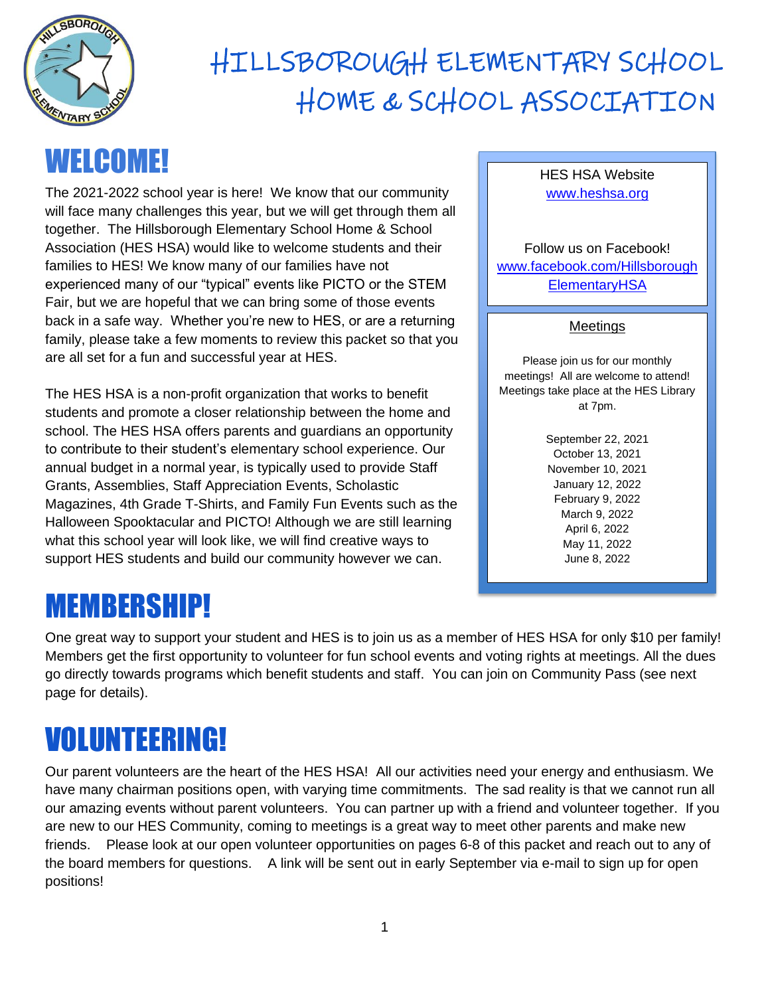

## WELCOME!

The 2021-2022 school year is here! We know that our community will face many challenges this year, but we will get through them all together. The Hillsborough Elementary School Home & School Association (HES HSA) would like to welcome students and their families to HES! We know many of our families have not experienced many of our "typical" events like PICTO or the STEM Fair, but we are hopeful that we can bring some of those events back in a safe way. Whether you're new to HES, or are a returning family, please take a few moments to review this packet so that you are all set for a fun and successful year at HES.

The HES HSA is a non-profit organization that works to benefit students and promote a closer relationship between the home and school. The HES HSA offers parents and guardians an opportunity to contribute to their student's elementary school experience. Our annual budget in a normal year, is typically used to provide Staff Grants, Assemblies, Staff Appreciation Events, Scholastic Magazines, 4th Grade T-Shirts, and Family Fun Events such as the Halloween Spooktacular and PICTO! Although we are still learning what this school year will look like, we will find creative ways to support HES students and build our community however we can.

### MEMBERSHIP!

One great way to support your student and HES is to join us as a member of HES HSA for only \$10 per family! Members get the first opportunity to volunteer for fun school events and voting rights at meetings. All the dues go directly towards programs which benefit students and staff. You can join on Community Pass (see next page for details).

# VOLUNTEERING!

Our parent volunteers are the heart of the HES HSA! All our activities need your energy and enthusiasm. We have many chairman positions open, with varying time commitments. The sad reality is that we cannot run all our amazing events without parent volunteers. You can partner up with a friend and volunteer together. If you are new to our HES Community, coming to meetings is a great way to meet other parents and make new friends. Please look at our open volunteer opportunities on pages 6-8 of this packet and reach out to any of the board members for questions. A link will be sent out in early September via e-mail to sign up for open positions!

#### HES HSA Website [www.heshsa.org](http://www.heshsa.org/)

Follow us on Facebook! [www.facebook.com/Hillsborough](www.facebook.com/HillsboroughElementaryHSA) **[ElementaryHSA](www.facebook.com/HillsboroughElementaryHSA)** 

#### Meetings

Please join us for our monthly meetings! All are welcome to attend! Meetings take place at the HES Library at 7pm.

> September 22, 2021 October 13, 2021 November 10, 2021 January 12, 2022 February 9, 2022 March 9, 2022 April 6, 2022 May 11, 2022 June 8, 2022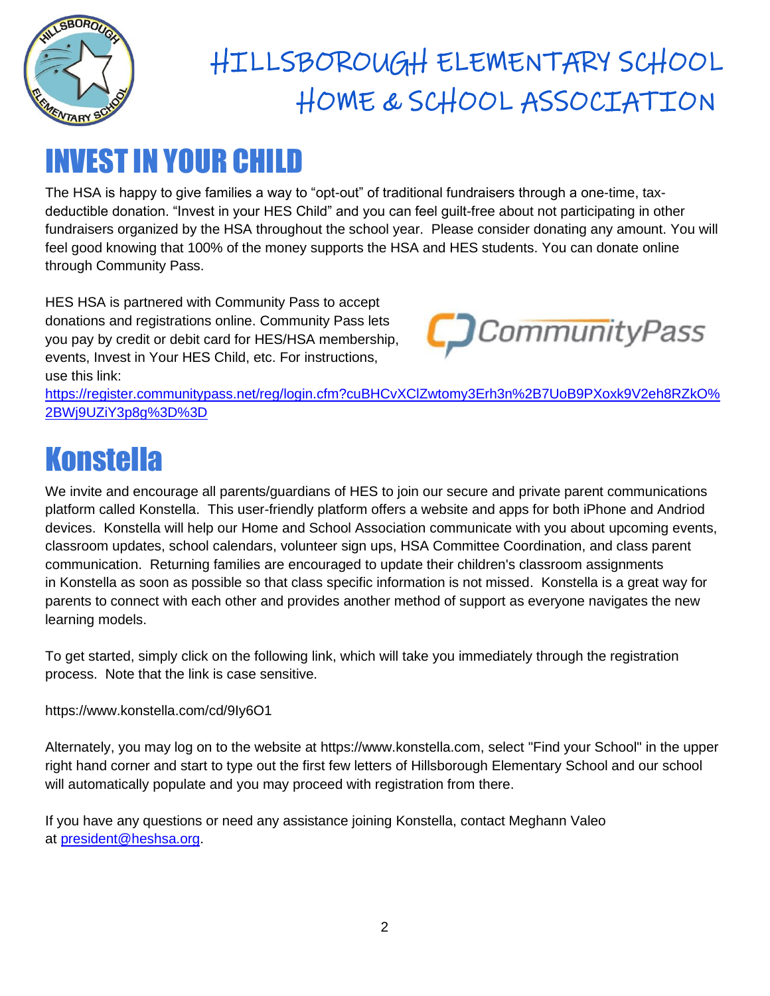

### INVEST IN YOUR CHILD

The HSA is happy to give families a way to "opt-out" of traditional fundraisers through a one-time, taxdeductible donation. "Invest in your HES Child" and you can feel guilt-free about not participating in other fundraisers organized by the HSA throughout the school year. Please consider donating any amount. You will feel good knowing that 100% of the money supports the HSA and HES students. You can donate online through Community Pass.

HES HSA is partnered with Community Pass to accept donations and registrations online. Community Pass lets you pay by credit or debit card for HES/HSA membership, events, Invest in Your HES Child, etc. For instructions, use this link:



[https://register.communitypass.net/reg/login.cfm?cuBHCvXClZwtomy3Erh3n%2B7UoB9PXoxk9V2eh8RZkO%](https://register.communitypass.net/reg/login.cfm?cuBHCvXClZwtomy3Erh3n%2B7UoB9PXoxk9V2eh8RZkO%2BWj9UZiY3p8g%3D%3D) [2BWj9UZiY3p8g%3D%3D](https://register.communitypass.net/reg/login.cfm?cuBHCvXClZwtomy3Erh3n%2B7UoB9PXoxk9V2eh8RZkO%2BWj9UZiY3p8g%3D%3D)

## **Konstella**

We invite and encourage all parents/guardians of HES to join our secure and private parent communications platform called Konstella. This user-friendly platform offers a website and apps for both iPhone and Andriod devices. Konstella will help our Home and School Association communicate with you about upcoming events, classroom updates, school calendars, volunteer sign ups, HSA Committee Coordination, and class parent communication. Returning families are encouraged to update their children's classroom assignments in Konstella as soon as possible so that class specific information is not missed. Konstella is a great way for parents to connect with each other and provides another method of support as everyone navigates the new learning models.

To get started, simply click on the following link, which will take you immediately through the registration process. Note that the link is case sensitive.

<https://www.konstella.com/cd/9Iy6O1>

Alternately, you may log on to the website at [https://www.konstella.com,](https://www.konstella.com/) select "Find your School" in the upper right hand corner and start to type out the first few letters of Hillsborough Elementary School and our school will automatically populate and you may proceed with registration from there.

If you have any questions or need any assistance joining Konstella, contact Meghann Valeo at [president@heshsa.org.](mailto:president@heshsa.org)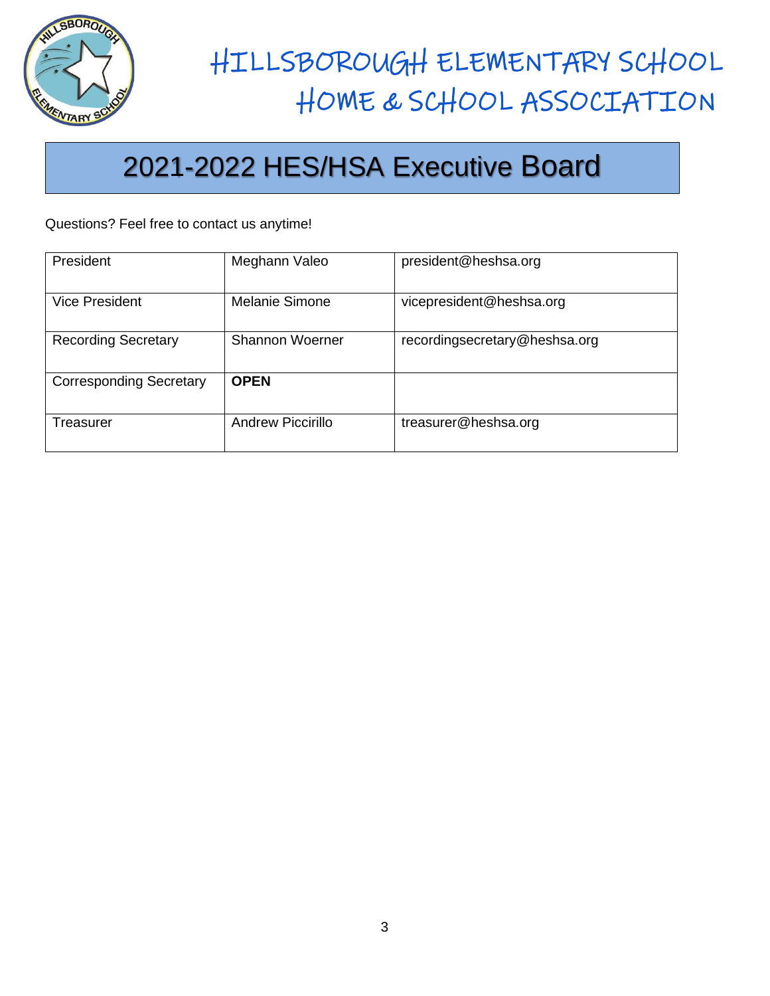

### 2021-2022 HES/HSA Executive Board

Questions? Feel free to contact us anytime!

| President                      | Meghann Valeo            | president@heshsa.org          |
|--------------------------------|--------------------------|-------------------------------|
| <b>Vice President</b>          | <b>Melanie Simone</b>    | vicepresident@heshsa.org      |
| <b>Recording Secretary</b>     | <b>Shannon Woerner</b>   | recordingsecretary@heshsa.org |
| <b>Corresponding Secretary</b> | <b>OPEN</b>              |                               |
| Treasurer                      | <b>Andrew Piccirillo</b> | treasurer@heshsa.org          |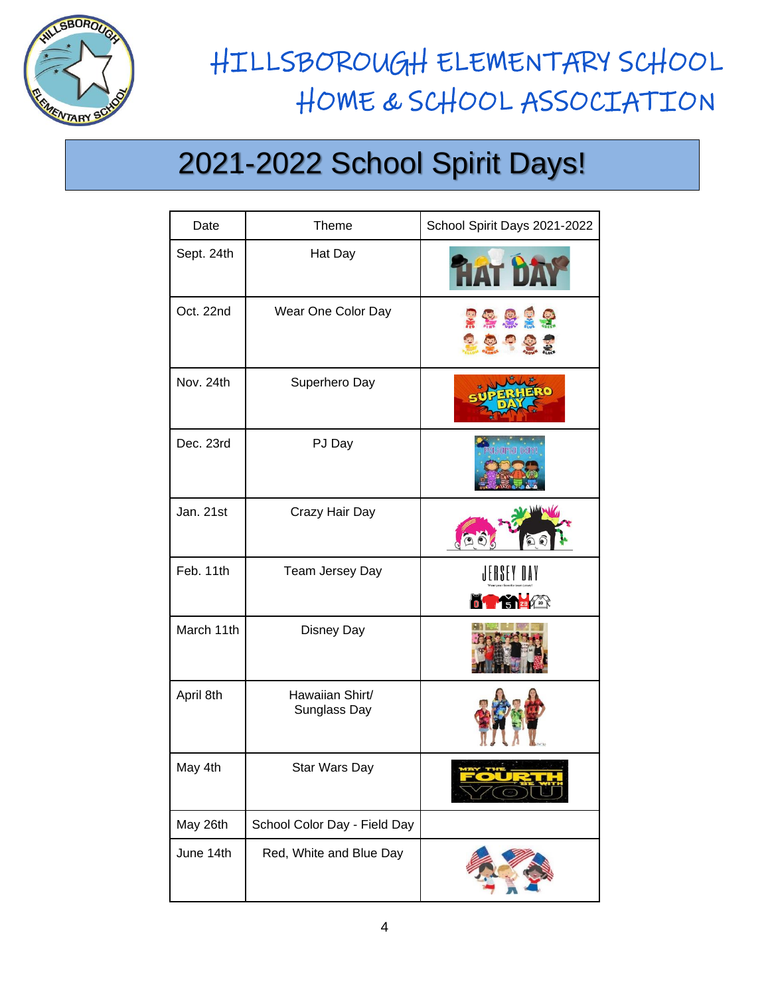

 $\overline{a}$ 

# HILLSBOROUGH ELEMENTARY SCHOOL HOME & SCHOOL ASSOCIATION

## 2021-2022 School Spirit Days!

| Date       | Theme                           | School Spirit Days 2021-2022           |
|------------|---------------------------------|----------------------------------------|
| Sept. 24th | Hat Day                         |                                        |
| Oct. 22nd  | Wear One Color Day              | 33829<br><b>TOUSE</b>                  |
| Nov. 24th  | Superhero Day                   | $\bullet$                              |
| Dec. 23rd  | PJ Day                          | auama pari                             |
| Jan. 21st  | Crazy Hair Day                  |                                        |
| Feb. 11th  | Team Jersey Day                 | JERSEY DAY<br><b>THE EXPLOSURE AND</b> |
| March 11th | Disney Day                      |                                        |
| April 8th  | Hawaiian Shirt/<br>Sunglass Day |                                        |
| May 4th    | Star Wars Day                   |                                        |
| May 26th   | School Color Day - Field Day    |                                        |
| June 14th  | Red, White and Blue Day         |                                        |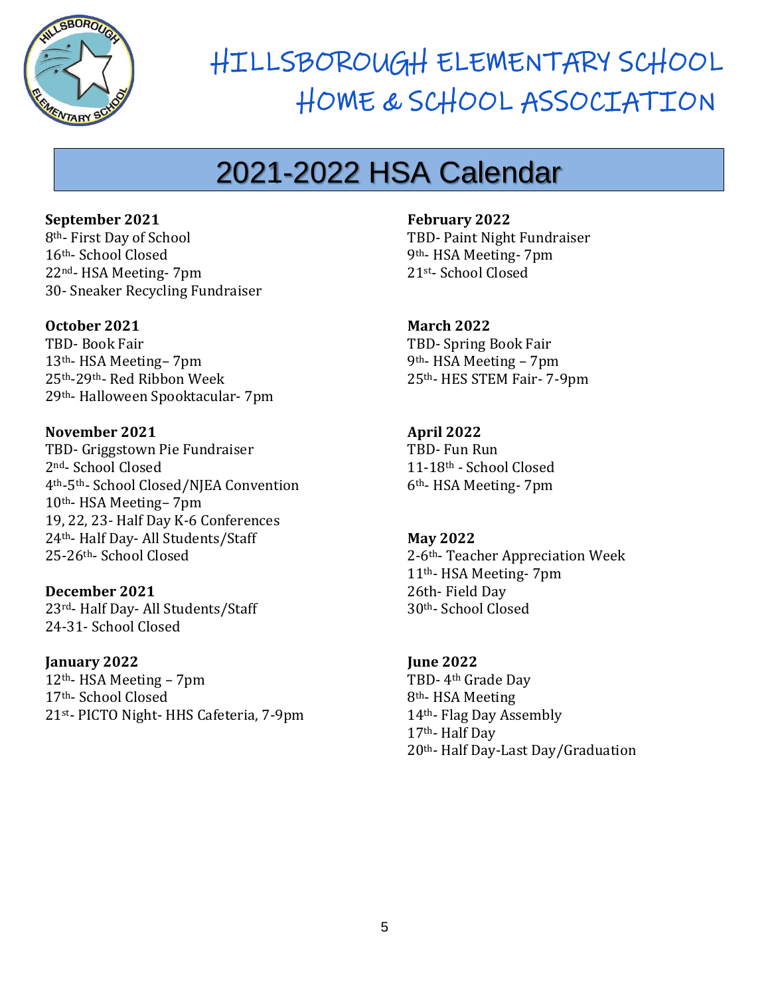

## 2021-2022 HSA Calendar

**September 2021** th- First Day of School th- School Closed nd- HSA Meeting- 7pm

**October 2021**

TBD- Book Fair th- HSA Meeting– 7pm th-29th- Red Ribbon Week th- Halloween Spooktacular- 7pm

30- Sneaker Recycling Fundraiser

**November 2021** TBD- Griggstown Pie Fundraiser 2nd- School Closed 4th-5th- School Closed/NJEA Convention 10th- HSA Meeting– 7pm 19, 22, 23- Half Day K-6 Conferences 24th- Half Day- All Students/Staff 25-26th- School Closed

**December 2021** 23rd- Half Day- All Students/Staff 24-31- School Closed

**January 2022** th- HSA Meeting – 7pm th- School Closed st- PICTO Night- HHS Cafeteria, 7-9pm **February 2022**

TBD- Paint Night Fundraiser 9th- HSA Meeting- 7pm 21st- School Closed

**March 2022** TBD- Spring Book Fair 9th- HSA Meeting – 7pm 25th- HES STEM Fair- 7-9pm

**April 2022** TBD- Fun Run 11-18th - School Closed 6th- HSA Meeting- 7pm

**May 2022** 2-6th- Teacher Appreciation Week 11th- HSA Meeting- 7pm 26th- Field Day 30th- School Closed

**June 2022** TBD- 4th Grade Day th- HSA Meeting th- Flag Day Assembly th- Half Day th- Half Day-Last Day/Graduation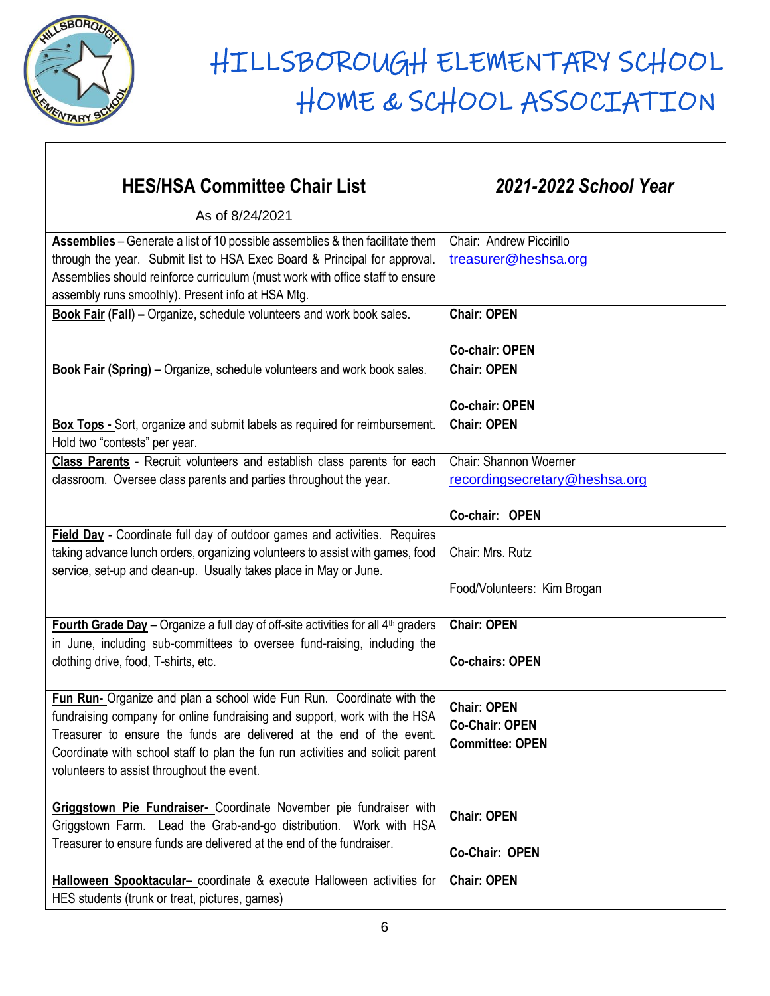

| <b>HES/HSA Committee Chair List</b>                                                                                                                                                                                                                                                                                                                        | 2021-2022 School Year                                                 |
|------------------------------------------------------------------------------------------------------------------------------------------------------------------------------------------------------------------------------------------------------------------------------------------------------------------------------------------------------------|-----------------------------------------------------------------------|
| As of 8/24/2021                                                                                                                                                                                                                                                                                                                                            |                                                                       |
| Assemblies - Generate a list of 10 possible assemblies & then facilitate them<br>through the year. Submit list to HSA Exec Board & Principal for approval.<br>Assemblies should reinforce curriculum (must work with office staff to ensure<br>assembly runs smoothly). Present info at HSA Mtg.                                                           | Chair: Andrew Piccirillo<br>treasurer@heshsa.org                      |
| Book Fair (Fall) - Organize, schedule volunteers and work book sales.                                                                                                                                                                                                                                                                                      | <b>Chair: OPEN</b>                                                    |
|                                                                                                                                                                                                                                                                                                                                                            | <b>Co-chair: OPEN</b>                                                 |
| <b>Book Fair (Spring) – Organize, schedule volunteers and work book sales.</b>                                                                                                                                                                                                                                                                             | <b>Chair: OPEN</b>                                                    |
| Box Tops - Sort, organize and submit labels as required for reimbursement.                                                                                                                                                                                                                                                                                 | <b>Co-chair: OPEN</b><br><b>Chair: OPEN</b>                           |
| Hold two "contests" per year.                                                                                                                                                                                                                                                                                                                              |                                                                       |
| Class Parents - Recruit volunteers and establish class parents for each<br>classroom. Oversee class parents and parties throughout the year.                                                                                                                                                                                                               | Chair: Shannon Woerner<br>recordingsecretary@heshsa.org               |
|                                                                                                                                                                                                                                                                                                                                                            | Co-chair: OPEN                                                        |
| Field Day - Coordinate full day of outdoor games and activities. Requires<br>taking advance lunch orders, organizing volunteers to assist with games, food<br>service, set-up and clean-up. Usually takes place in May or June.                                                                                                                            | Chair: Mrs. Rutz<br>Food/Volunteers: Kim Brogan                       |
| Fourth Grade Day - Organize a full day of off-site activities for all 4 <sup>th</sup> graders                                                                                                                                                                                                                                                              | <b>Chair: OPEN</b>                                                    |
| in June, including sub-committees to oversee fund-raising, including the<br>clothing drive, food, T-shirts, etc.                                                                                                                                                                                                                                           | <b>Co-chairs: OPEN</b>                                                |
| Fun Run- Organize and plan a school wide Fun Run. Coordinate with the<br>fundraising company for online fundraising and support, work with the HSA<br>Treasurer to ensure the funds are delivered at the end of the event.<br>Coordinate with school staff to plan the fun run activities and solicit parent<br>volunteers to assist throughout the event. | <b>Chair: OPEN</b><br><b>Co-Chair: OPEN</b><br><b>Committee: OPEN</b> |
| Griggstown Pie Fundraiser- Coordinate November pie fundraiser with<br>Griggstown Farm. Lead the Grab-and-go distribution. Work with HSA                                                                                                                                                                                                                    | <b>Chair: OPEN</b>                                                    |
| Treasurer to ensure funds are delivered at the end of the fundraiser.                                                                                                                                                                                                                                                                                      | Co-Chair: OPEN                                                        |
| Halloween Spooktacular- coordinate & execute Halloween activities for<br>HES students (trunk or treat, pictures, games)                                                                                                                                                                                                                                    | <b>Chair: OPEN</b>                                                    |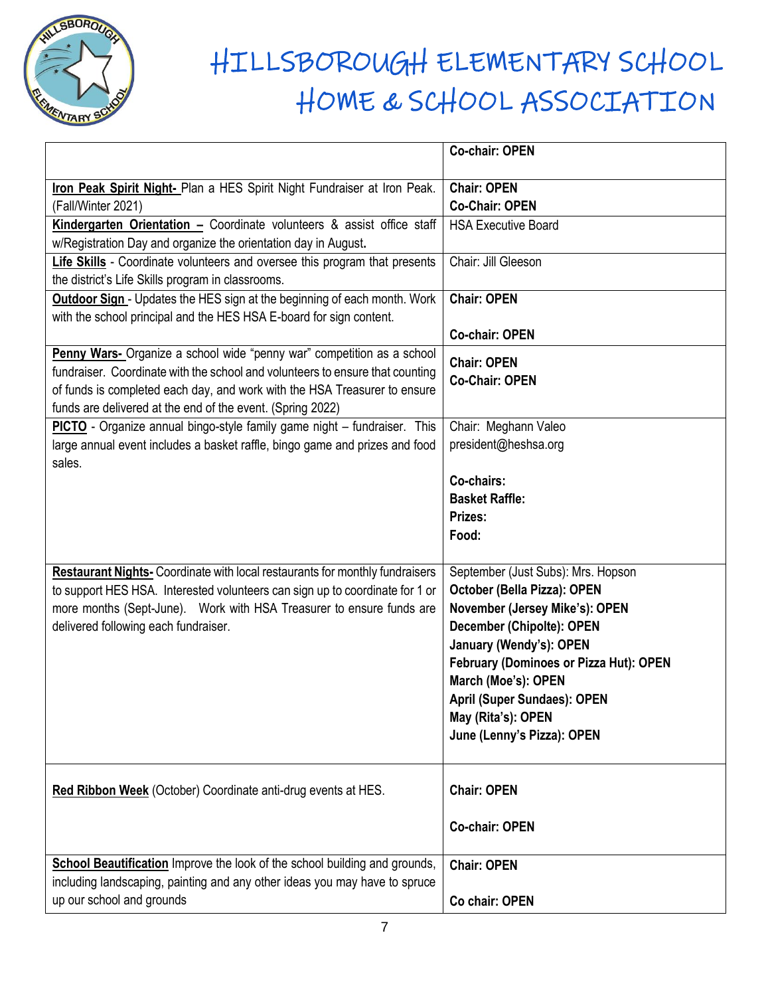

|                                                                                     | <b>Co-chair: OPEN</b>                  |
|-------------------------------------------------------------------------------------|----------------------------------------|
| Iron Peak Spirit Night- Plan a HES Spirit Night Fundraiser at Iron Peak.            | <b>Chair: OPEN</b>                     |
| (Fall/Winter 2021)                                                                  | <b>Co-Chair: OPEN</b>                  |
| Kindergarten Orientation - Coordinate volunteers & assist office staff              | <b>HSA Executive Board</b>             |
| w/Registration Day and organize the orientation day in August.                      |                                        |
| Life Skills - Coordinate volunteers and oversee this program that presents          | Chair: Jill Gleeson                    |
| the district's Life Skills program in classrooms.                                   |                                        |
| <b>Outdoor Sign</b> - Updates the HES sign at the beginning of each month. Work     | <b>Chair: OPEN</b>                     |
| with the school principal and the HES HSA E-board for sign content.                 |                                        |
|                                                                                     | <b>Co-chair: OPEN</b>                  |
| Penny Wars- Organize a school wide "penny war" competition as a school              | <b>Chair: OPEN</b>                     |
| fundraiser. Coordinate with the school and volunteers to ensure that counting       | <b>Co-Chair: OPEN</b>                  |
| of funds is completed each day, and work with the HSA Treasurer to ensure           |                                        |
| funds are delivered at the end of the event. (Spring 2022)                          |                                        |
| PICTO - Organize annual bingo-style family game night - fundraiser. This            | Chair: Meghann Valeo                   |
| large annual event includes a basket raffle, bingo game and prizes and food         | president@heshsa.org                   |
| sales.                                                                              |                                        |
|                                                                                     | Co-chairs:                             |
|                                                                                     | <b>Basket Raffle:</b>                  |
|                                                                                     | Prizes:                                |
|                                                                                     | Food:                                  |
| <b>Restaurant Nights-</b> Coordinate with local restaurants for monthly fundraisers | September (Just Subs): Mrs. Hopson     |
| to support HES HSA. Interested volunteers can sign up to coordinate for 1 or        | October (Bella Pizza): OPEN            |
| more months (Sept-June). Work with HSA Treasurer to ensure funds are                | November (Jersey Mike's): OPEN         |
| delivered following each fundraiser.                                                | <b>December (Chipolte): OPEN</b>       |
|                                                                                     | January (Wendy's): OPEN                |
|                                                                                     | February (Dominoes or Pizza Hut): OPEN |
|                                                                                     | March (Moe's): OPEN                    |
|                                                                                     | <b>April (Super Sundaes): OPEN</b>     |
|                                                                                     | May (Rita's): OPEN                     |
|                                                                                     | June (Lenny's Pizza): OPEN             |
|                                                                                     |                                        |
| Red Ribbon Week (October) Coordinate anti-drug events at HES.                       | <b>Chair: OPEN</b>                     |
|                                                                                     |                                        |
|                                                                                     | <b>Co-chair: OPEN</b>                  |
|                                                                                     |                                        |
| <b>School Beautification</b> Improve the look of the school building and grounds,   | <b>Chair: OPEN</b>                     |
| including landscaping, painting and any other ideas you may have to spruce          |                                        |
| up our school and grounds                                                           | Co chair: OPEN                         |